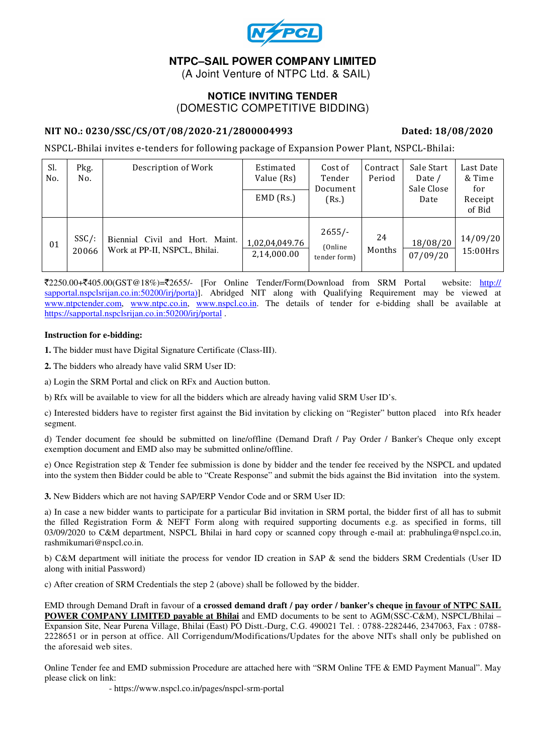

# **NTPC–SAIL POWER COMPANY LIMITED**

(A Joint Venture of NTPC Ltd. & SAIL)

# **NOTICE INVITING TENDER**  (DOMESTIC COMPETITIVE BIDDING)

### NIT NO.: 0230/SSC/CS/OT/08/2020-21/2800004993 Dated: 18/08/2020

NSPCL-Bhilai invites e-tenders for following package of Expansion Power Plant, NSPCL-Bhilai:

| Sl.<br>No. | Pkg.<br>No.       | Description of Work                                                 | Estimated<br>Value (Rs)<br>$EMD$ (Rs.) | Cost of<br>Tender<br>Document<br>(Rs.) | Contract<br>Period | Sale Start<br>Date /<br>Sale Close<br>Date | Last Date<br>& Time<br>for<br>Receipt<br>of Bid |
|------------|-------------------|---------------------------------------------------------------------|----------------------------------------|----------------------------------------|--------------------|--------------------------------------------|-------------------------------------------------|
| 01         | $SSC/$ :<br>20066 | Biennial Civil<br>and Hort. Maint.<br>Work at PP-II, NSPCL, Bhilai. | 1,02,04,049.76<br>2,14,000.00          | $2655/-$<br>(Online)<br>tender form)   | 24<br>Months       | 18/08/20<br>07/09/20                       | 14/09/20<br>$15:00$ Hrs                         |

 $\text{\textsterling}2250.00+\text{\textsterling}405.00(GST@18\%)$ = $\text{\textsterling}2655/-$  [For Online Tender/Form(Download from SRM Portal website: http:// sapportal.nspclsrijan.co.in:50200/irj/porta)]. Abridged NIT along with Qualifying Requirement may be viewed at www.ntpctender.com, www.ntpc.co.in, www.nspcl.co.in. The details of tender for e-bidding shall be available at https://sapportal.nspclsrijan.co.in:50200/irj/portal .

#### **Instruction for e-bidding:**

**1.** The bidder must have Digital Signature Certificate (Class-III).

**2.** The bidders who already have valid SRM User ID:

a) Login the SRM Portal and click on RFx and Auction button.

b) Rfx will be available to view for all the bidders which are already having valid SRM User ID's.

c) Interested bidders have to register first against the Bid invitation by clicking on "Register" button placed into Rfx header segment.

d) Tender document fee should be submitted on line/offline (Demand Draft / Pay Order / Banker's Cheque only except exemption document and EMD also may be submitted online/offline.

e) Once Registration step & Tender fee submission is done by bidder and the tender fee received by the NSPCL and updated into the system then Bidder could be able to "Create Response" and submit the bids against the Bid invitation into the system.

**3.** New Bidders which are not having SAP/ERP Vendor Code and or SRM User ID:

a) In case a new bidder wants to participate for a particular Bid invitation in SRM portal, the bidder first of all has to submit the filled Registration Form & NEFT Form along with required supporting documents e.g. as specified in forms, till 03/09/2020 to C&M department, NSPCL Bhilai in hard copy or scanned copy through e-mail at: prabhulinga@nspcl.co.in, rashmikumari@nspcl.co.in.

b) C&M department will initiate the process for vendor ID creation in SAP & send the bidders SRM Credentials (User ID along with initial Password)

c) After creation of SRM Credentials the step 2 (above) shall be followed by the bidder.

EMD through Demand Draft in favour of **a crossed demand draft / pay order / banker's cheque in favour of NTPC SAIL POWER COMPANY LIMITED payable at Bhilai** and EMD documents to be sent to AGM(SSC-C&M), NSPCL/Bhilai – Expansion Site, Near Purena Village, Bhilai (East) PO Distt.-Durg, C.G. 490021 Tel. : 0788-2282446, 2347063, Fax : 0788- 2228651 or in person at office. All Corrigendum/Modifications/Updates for the above NITs shall only be published on the aforesaid web sites.

Online Tender fee and EMD submission Procedure are attached here with "SRM Online TFE & EMD Payment Manual". May please click on link:

- https://www.nspcl.co.in/pages/nspcl-srm-portal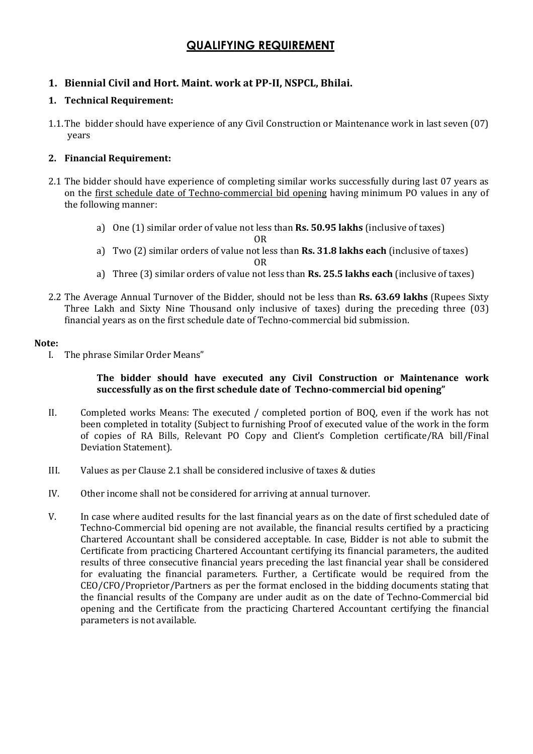# QUALIFYING REQUIREMENT

# 1. Biennial Civil and Hort. Maint. work at PP-II, NSPCL, Bhilai.

### 1. Technical Requirement:

1.1.The bidder should have experience of any Civil Construction or Maintenance work in last seven (07) years

### 2. Financial Requirement:

- 2.1 The bidder should have experience of completing similar works successfully during last 07 years as on the first schedule date of Techno-commercial bid opening having minimum PO values in any of the following manner:
	- a) One (1) similar order of value not less than Rs. 50.95 lakhs (inclusive of taxes)

OR

- a) Two (2) similar orders of value not less than Rs. 31.8 lakhs each (inclusive of taxes) OR
- a) Three (3) similar orders of value not less than **Rs. 25.5 lakhs each** (inclusive of taxes)
- 2.2 The Average Annual Turnover of the Bidder, should not be less than Rs. 63.69 lakhs (Rupees Sixty Three Lakh and Sixty Nine Thousand only inclusive of taxes) during the preceding three (03) financial years as on the first schedule date of Techno-commercial bid submission.

#### Note:

I. The phrase Similar Order Means"

#### The bidder should have executed any Civil Construction or Maintenance work successfully as on the first schedule date of Techno-commercial bid opening"

- II. Completed works Means: The executed / completed portion of BOQ, even if the work has not been completed in totality (Subject to furnishing Proof of executed value of the work in the form of copies of RA Bills, Relevant PO Copy and Client's Completion certificate/RA bill/Final Deviation Statement).
- III. Values as per Clause 2.1 shall be considered inclusive of taxes & duties
- IV. Other income shall not be considered for arriving at annual turnover.
- V. In case where audited results for the last financial years as on the date of first scheduled date of Techno-Commercial bid opening are not available, the financial results certified by a practicing Chartered Accountant shall be considered acceptable. In case, Bidder is not able to submit the Certificate from practicing Chartered Accountant certifying its financial parameters, the audited results of three consecutive financial years preceding the last financial year shall be considered for evaluating the financial parameters. Further, a Certificate would be required from the CEO/CFO/Proprietor/Partners as per the format enclosed in the bidding documents stating that the financial results of the Company are under audit as on the date of Techno-Commercial bid opening and the Certificate from the practicing Chartered Accountant certifying the financial parameters is not available.